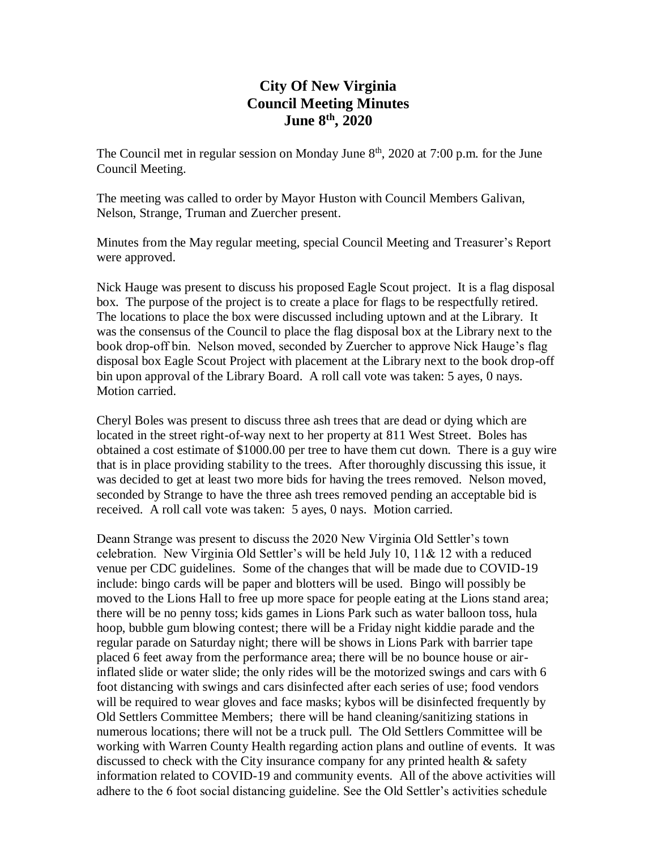# **City Of New Virginia Council Meeting Minutes June 8th , 2020**

The Council met in regular session on Monday June  $8<sup>th</sup>$ , 2020 at 7:00 p.m. for the June Council Meeting.

The meeting was called to order by Mayor Huston with Council Members Galivan, Nelson, Strange, Truman and Zuercher present.

Minutes from the May regular meeting, special Council Meeting and Treasurer's Report were approved.

Nick Hauge was present to discuss his proposed Eagle Scout project. It is a flag disposal box. The purpose of the project is to create a place for flags to be respectfully retired. The locations to place the box were discussed including uptown and at the Library. It was the consensus of the Council to place the flag disposal box at the Library next to the book drop-off bin. Nelson moved, seconded by Zuercher to approve Nick Hauge's flag disposal box Eagle Scout Project with placement at the Library next to the book drop-off bin upon approval of the Library Board. A roll call vote was taken: 5 ayes, 0 nays. Motion carried.

Cheryl Boles was present to discuss three ash trees that are dead or dying which are located in the street right-of-way next to her property at 811 West Street. Boles has obtained a cost estimate of \$1000.00 per tree to have them cut down. There is a guy wire that is in place providing stability to the trees. After thoroughly discussing this issue, it was decided to get at least two more bids for having the trees removed. Nelson moved, seconded by Strange to have the three ash trees removed pending an acceptable bid is received. A roll call vote was taken: 5 ayes, 0 nays. Motion carried.

Deann Strange was present to discuss the 2020 New Virginia Old Settler's town celebration. New Virginia Old Settler's will be held July 10, 11& 12 with a reduced venue per CDC guidelines. Some of the changes that will be made due to COVID-19 include: bingo cards will be paper and blotters will be used. Bingo will possibly be moved to the Lions Hall to free up more space for people eating at the Lions stand area; there will be no penny toss; kids games in Lions Park such as water balloon toss, hula hoop, bubble gum blowing contest; there will be a Friday night kiddie parade and the regular parade on Saturday night; there will be shows in Lions Park with barrier tape placed 6 feet away from the performance area; there will be no bounce house or airinflated slide or water slide; the only rides will be the motorized swings and cars with 6 foot distancing with swings and cars disinfected after each series of use; food vendors will be required to wear gloves and face masks; kybos will be disinfected frequently by Old Settlers Committee Members; there will be hand cleaning/sanitizing stations in numerous locations; there will not be a truck pull. The Old Settlers Committee will be working with Warren County Health regarding action plans and outline of events. It was discussed to check with the City insurance company for any printed health & safety information related to COVID-19 and community events. All of the above activities will adhere to the 6 foot social distancing guideline. See the Old Settler's activities schedule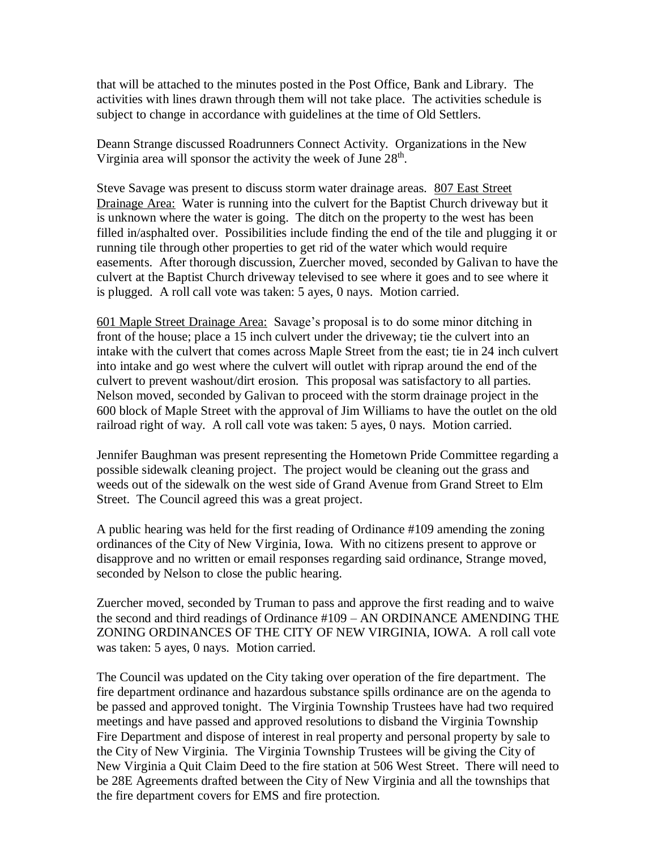that will be attached to the minutes posted in the Post Office, Bank and Library. The activities with lines drawn through them will not take place. The activities schedule is subject to change in accordance with guidelines at the time of Old Settlers.

Deann Strange discussed Roadrunners Connect Activity. Organizations in the New Virginia area will sponsor the activity the week of June  $28<sup>th</sup>$ .

Steve Savage was present to discuss storm water drainage areas. 807 East Street Drainage Area: Water is running into the culvert for the Baptist Church driveway but it is unknown where the water is going. The ditch on the property to the west has been filled in/asphalted over. Possibilities include finding the end of the tile and plugging it or running tile through other properties to get rid of the water which would require easements. After thorough discussion, Zuercher moved, seconded by Galivan to have the culvert at the Baptist Church driveway televised to see where it goes and to see where it is plugged. A roll call vote was taken: 5 ayes, 0 nays. Motion carried.

601 Maple Street Drainage Area: Savage's proposal is to do some minor ditching in front of the house; place a 15 inch culvert under the driveway; tie the culvert into an intake with the culvert that comes across Maple Street from the east; tie in 24 inch culvert into intake and go west where the culvert will outlet with riprap around the end of the culvert to prevent washout/dirt erosion. This proposal was satisfactory to all parties. Nelson moved, seconded by Galivan to proceed with the storm drainage project in the 600 block of Maple Street with the approval of Jim Williams to have the outlet on the old railroad right of way. A roll call vote was taken: 5 ayes, 0 nays. Motion carried.

Jennifer Baughman was present representing the Hometown Pride Committee regarding a possible sidewalk cleaning project. The project would be cleaning out the grass and weeds out of the sidewalk on the west side of Grand Avenue from Grand Street to Elm Street. The Council agreed this was a great project.

A public hearing was held for the first reading of Ordinance #109 amending the zoning ordinances of the City of New Virginia, Iowa. With no citizens present to approve or disapprove and no written or email responses regarding said ordinance, Strange moved, seconded by Nelson to close the public hearing.

Zuercher moved, seconded by Truman to pass and approve the first reading and to waive the second and third readings of Ordinance #109 – AN ORDINANCE AMENDING THE ZONING ORDINANCES OF THE CITY OF NEW VIRGINIA, IOWA. A roll call vote was taken: 5 ayes, 0 nays. Motion carried.

The Council was updated on the City taking over operation of the fire department. The fire department ordinance and hazardous substance spills ordinance are on the agenda to be passed and approved tonight. The Virginia Township Trustees have had two required meetings and have passed and approved resolutions to disband the Virginia Township Fire Department and dispose of interest in real property and personal property by sale to the City of New Virginia. The Virginia Township Trustees will be giving the City of New Virginia a Quit Claim Deed to the fire station at 506 West Street. There will need to be 28E Agreements drafted between the City of New Virginia and all the townships that the fire department covers for EMS and fire protection.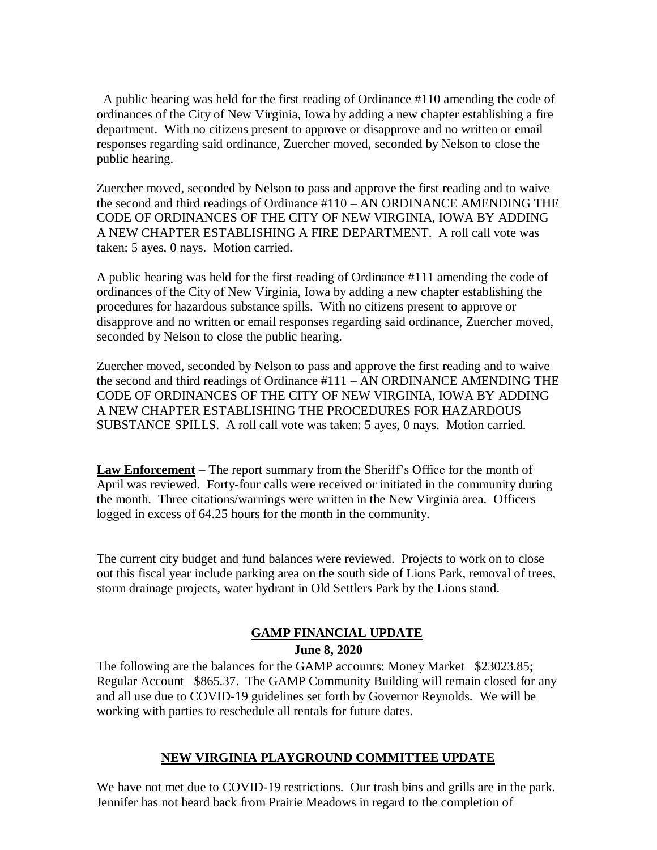A public hearing was held for the first reading of Ordinance #110 amending the code of ordinances of the City of New Virginia, Iowa by adding a new chapter establishing a fire department. With no citizens present to approve or disapprove and no written or email responses regarding said ordinance, Zuercher moved, seconded by Nelson to close the public hearing.

Zuercher moved, seconded by Nelson to pass and approve the first reading and to waive the second and third readings of Ordinance #110 – AN ORDINANCE AMENDING THE CODE OF ORDINANCES OF THE CITY OF NEW VIRGINIA, IOWA BY ADDING A NEW CHAPTER ESTABLISHING A FIRE DEPARTMENT. A roll call vote was taken: 5 ayes, 0 nays. Motion carried.

A public hearing was held for the first reading of Ordinance #111 amending the code of ordinances of the City of New Virginia, Iowa by adding a new chapter establishing the procedures for hazardous substance spills. With no citizens present to approve or disapprove and no written or email responses regarding said ordinance, Zuercher moved, seconded by Nelson to close the public hearing.

Zuercher moved, seconded by Nelson to pass and approve the first reading and to waive the second and third readings of Ordinance #111 – AN ORDINANCE AMENDING THE CODE OF ORDINANCES OF THE CITY OF NEW VIRGINIA, IOWA BY ADDING A NEW CHAPTER ESTABLISHING THE PROCEDURES FOR HAZARDOUS SUBSTANCE SPILLS. A roll call vote was taken: 5 ayes, 0 nays. Motion carried.

**Law Enforcement** – The report summary from the Sheriff's Office for the month of April was reviewed. Forty-four calls were received or initiated in the community during the month. Three citations/warnings were written in the New Virginia area. Officers logged in excess of 64.25 hours for the month in the community.

The current city budget and fund balances were reviewed. Projects to work on to close out this fiscal year include parking area on the south side of Lions Park, removal of trees, storm drainage projects, water hydrant in Old Settlers Park by the Lions stand.

## **GAMP FINANCIAL UPDATE**

### **June 8, 2020**

The following are the balances for the GAMP accounts: Money Market \$23023.85; Regular Account \$865.37. The GAMP Community Building will remain closed for any and all use due to COVID-19 guidelines set forth by Governor Reynolds. We will be working with parties to reschedule all rentals for future dates.

### **NEW VIRGINIA PLAYGROUND COMMITTEE UPDATE**

We have not met due to COVID-19 restrictions. Our trash bins and grills are in the park. Jennifer has not heard back from Prairie Meadows in regard to the completion of